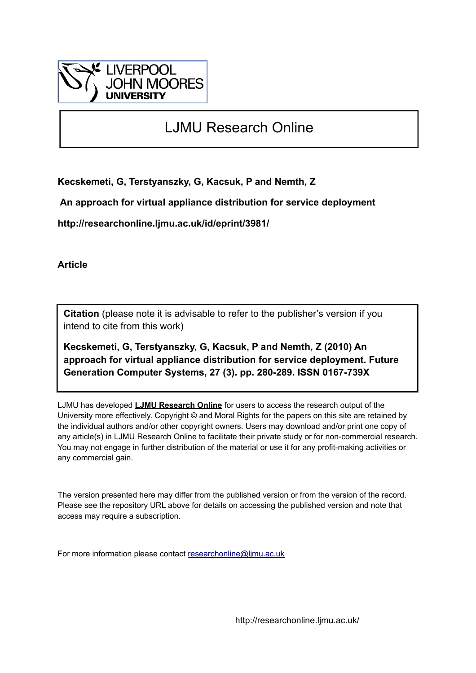

# LJMU Research Online

**Kecskemeti, G, Terstyanszky, G, Kacsuk, P and Nemth, Z**

 **An approach for virtual appliance distribution for service deployment**

**http://researchonline.ljmu.ac.uk/id/eprint/3981/**

**Article**

**Citation** (please note it is advisable to refer to the publisher's version if you intend to cite from this work)

**Kecskemeti, G, Terstyanszky, G, Kacsuk, P and Nemth, Z (2010) An approach for virtual appliance distribution for service deployment. Future Generation Computer Systems, 27 (3). pp. 280-289. ISSN 0167-739X** 

LJMU has developed **[LJMU Research Online](http://researchonline.ljmu.ac.uk/)** for users to access the research output of the University more effectively. Copyright © and Moral Rights for the papers on this site are retained by the individual authors and/or other copyright owners. Users may download and/or print one copy of any article(s) in LJMU Research Online to facilitate their private study or for non-commercial research. You may not engage in further distribution of the material or use it for any profit-making activities or any commercial gain.

The version presented here may differ from the published version or from the version of the record. Please see the repository URL above for details on accessing the published version and note that access may require a subscription.

For more information please contact [researchonline@ljmu.ac.uk](mailto:researchonline@ljmu.ac.uk)

http://researchonline.ljmu.ac.uk/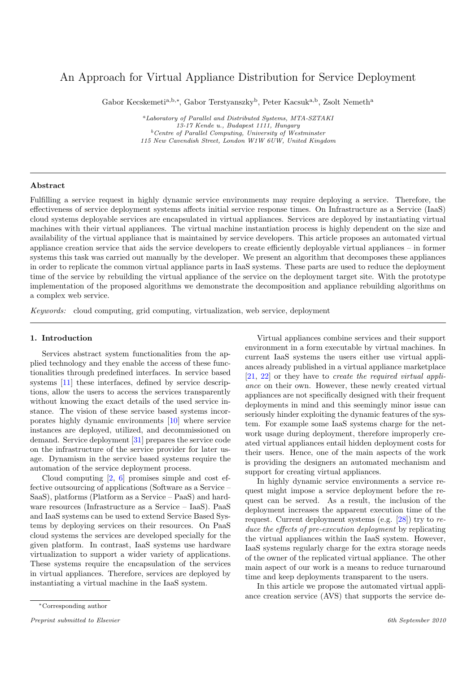# An Approach for Virtual Appliance Distribution for Service Deployment

Gabor Kecskemeti<sup>a,b,\*</sup>, Gabor Terstyanszky<sup>b</sup>, Peter Kacsuk<sup>a,b</sup>, Zsolt Nemeth<sup>a</sup>

<sup>a</sup>Laboratory of Parallel and Distributed Systems, MTA-SZTAKI 13-17 Kende u., Budapest 1111, Hungary  $b$ <sup>b</sup>Centre of Parallel Computing, University of Westminster 115 New Cavendish Street, London W1W 6UW, United Kingdom

#### Abstract

Fulfilling a service request in highly dynamic service environments may require deploying a service. Therefore, the effectiveness of service deployment systems affects initial service response times. On Infrastructure as a Service (IaaS) cloud systems deployable services are encapsulated in virtual appliances. Services are deployed by instantiating virtual machines with their virtual appliances. The virtual machine instantiation process is highly dependent on the size and availability of the virtual appliance that is maintained by service developers. This article proposes an automated virtual appliance creation service that aids the service developers to create efficiently deployable virtual appliances – in former systems this task was carried out manually by the developer. We present an algorithm that decomposes these appliances in order to replicate the common virtual appliance parts in IaaS systems. These parts are used to reduce the deployment time of the service by rebuilding the virtual appliance of the service on the deployment target site. With the prototype implementation of the proposed algorithms we demonstrate the decomposition and appliance rebuilding algorithms on a complex web service.

Keywords: cloud computing, grid computing, virtualization, web service, deployment

# 1. Introduction

Services abstract system functionalities from the applied technology and they enable the access of these functionalities through predefined interfaces. In service based systems [\[11\]](#page-12-0) these interfaces, defined by service descriptions, allow the users to access the services transparently without knowing the exact details of the used service instance. The vision of these service based systems incorporates highly dynamic environments [\[10\]](#page-12-1) where service instances are deployed, utilized, and decommissioned on demand. Service deployment [\[31\]](#page-12-2) prepares the service code on the infrastructure of the service provider for later usage. Dynamism in the service based systems require the automation of the service deployment process.

Cloud computing  $[2, 6]$  $[2, 6]$  $[2, 6]$  promises simple and cost effective outsourcing of applications (Software as a Service – SaaS), platforms (Platform as a Service – PaaS) and hardware resources (Infrastructure as a Service – IaaS). PaaS and IaaS systems can be used to extend Service Based Systems by deploying services on their resources. On PaaS cloud systems the services are developed specially for the given platform. In contrast, IaaS systems use hardware virtualization to support a wider variety of applications. These systems require the encapsulation of the services in virtual appliances. Therefore, services are deployed by instantiating a virtual machine in the IaaS system.

Virtual appliances combine services and their support environment in a form executable by virtual machines. In current IaaS systems the users either use virtual appliances already published in a virtual appliance marketplace [\[21,](#page-12-5) [22\]](#page-12-6) or they have to create the required virtual appliance on their own. However, these newly created virtual appliances are not specifically designed with their frequent deployments in mind and this seemingly minor issue can seriously hinder exploiting the dynamic features of the system. For example some IaaS systems charge for the network usage during deployment, therefore improperly created virtual appliances entail hidden deployment costs for their users. Hence, one of the main aspects of the work is providing the designers an automated mechanism and support for creating virtual appliances.

In highly dynamic service environments a service request might impose a service deployment before the request can be served. As a result, the inclusion of the deployment increases the apparent execution time of the request. Current deployment systems (e.g. [\[28\]](#page-12-7)) try to reduce the effects of pre-execution deployment by replicating the virtual appliances within the IaaS system. However, IaaS systems regularly charge for the extra storage needs of the owner of the replicated virtual appliance. The other main aspect of our work is a means to reduce turnaround time and keep deployments transparent to the users.

In this article we propose the automated virtual appliance creation service (AVS) that supports the service de-

<sup>∗</sup>Corresponding author

Preprint submitted to Elsevier **6th September 2010** 6th September 2010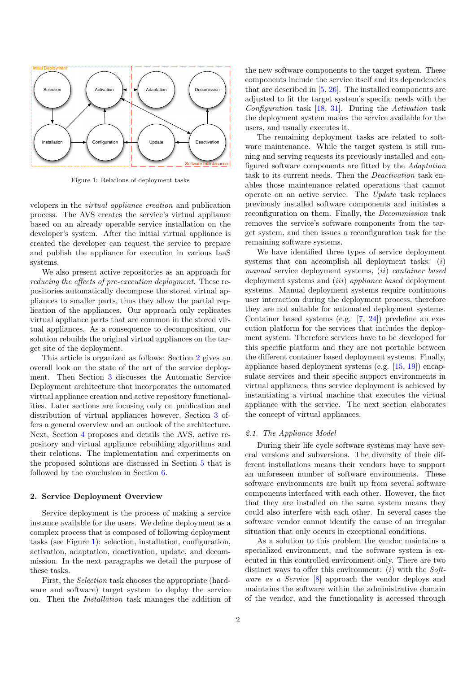

<span id="page-2-1"></span>Figure 1: Relations of deployment tasks

velopers in the virtual appliance creation and publication process. The AVS creates the service's virtual appliance based on an already operable service installation on the developer's system. After the initial virtual appliance is created the developer can request the service to prepare and publish the appliance for execution in various IaaS systems.

We also present active repositories as an approach for reducing the effects of pre-execution deployment. These repositories automatically decompose the stored virtual appliances to smaller parts, thus they allow the partial replication of the appliances. Our approach only replicates virtual appliance parts that are common in the stored virtual appliances. As a consequence to decomposition, our solution rebuilds the original virtual appliances on the target site of the deployment.

This article is organized as follows: Section [2](#page-2-0) gives an overall look on the state of the art of the service deployment. Then Section [3](#page-5-0) discusses the Automatic Service Deployment architecture that incorporates the automated virtual appliance creation and active repository functionalities. Later sections are focusing only on publication and distribution of virtual appliances however, Section [3](#page-5-0) offers a general overview and an outlook of the architecture. Next, Section [4](#page-6-0) proposes and details the AVS, active repository and virtual appliance rebuilding algorithms and their relations. The implementation and experiments on the proposed solutions are discussed in Section [5](#page-10-0) that is followed by the conclusion in Section [6.](#page-11-0)

### <span id="page-2-0"></span>2. Service Deployment Overview

Service deployment is the process of making a service instance available for the users. We define deployment as a complex process that is composed of following deployment tasks (see Figure [1\)](#page-2-1): selection, installation, configuration, activation, adaptation, deactivation, update, and decommission. In the next paragraphs we detail the purpose of these tasks.

First, the Selection task chooses the appropriate (hardware and software) target system to deploy the service on. Then the Installation task manages the addition of the new software components to the target system. These components include the service itself and its dependencies that are described in [\[5,](#page-12-8) [26\]](#page-12-9). The installed components are adjusted to fit the target system's specific needs with the Configuration task [\[18,](#page-12-10) [31\]](#page-12-2). During the Activation task the deployment system makes the service available for the users, and usually executes it.

The remaining deployment tasks are related to software maintenance. While the target system is still running and serving requests its previously installed and configured software components are fitted by the Adaptation task to its current needs. Then the Deactivation task enables those maintenance related operations that cannot operate on an active service. The Update task replaces previously installed software components and initiates a reconfiguration on them. Finally, the Decommission task removes the service's software components from the target system, and then issues a reconfiguration task for the remaining software systems.

We have identified three types of service deployment systems that can accomplish all deployment tasks:  $(i)$ manual service deployment systems, (ii) container based deployment systems and *(iii) appliance based* deployment systems. Manual deployment systems require continuous user interaction during the deployment process, therefore they are not suitable for automated deployment systems. Container based systems (e.g. [\[7,](#page-12-11) [24\]](#page-12-12)) predefine an execution platform for the services that includes the deployment system. Therefore services have to be developed for this specific platform and they are not portable between the different container based deployment systems. Finally, appliance based deployment systems (e.g. [\[15,](#page-12-13) [19\]](#page-12-14)) encapsulate services and their specific support environments in virtual appliances, thus service deployment is achieved by instantiating a virtual machine that executes the virtual appliance with the service. The next section elaborates the concept of virtual appliances.

# <span id="page-2-2"></span>2.1. The Appliance Model

During their life cycle software systems may have several versions and subversions. The diversity of their different installations means their vendors have to support an unforeseen number of software environments. These software environments are built up from several software components interfaced with each other. However, the fact that they are installed on the same system means they could also interfere with each other. In several cases the software vendor cannot identify the cause of an irregular situation that only occurs in exceptional conditions.

As a solution to this problem the vendor maintains a specialized environment, and the software system is executed in this controlled environment only. There are two distinct ways to offer this environment: (i) with the  $Soft$ ware as a Service  $[8]$  approach the vendor deploys and maintains the software within the administrative domain of the vendor, and the functionality is accessed through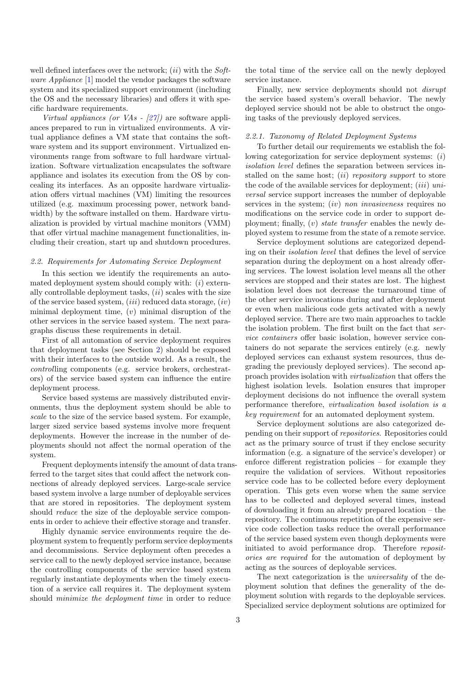well defined interfaces over the network;  $(ii)$  with the Software Appliance [\[1\]](#page-12-16) model the vendor packages the software system and its specialized support environment (including the OS and the necessary libraries) and offers it with specific hardware requirements.

Virtual appliances (or VAs -  $\sqrt{27}$ ) are software appliances prepared to run in virtualized environments. A virtual appliance defines a VM state that contains the software system and its support environment. Virtualized environments range from software to full hardware virtualization. Software virtualization encapsulates the software appliance and isolates its execution from the OS by concealing its interfaces. As an opposite hardware virtualization offers virtual machines (VM) limiting the resources utilized (e.g. maximum processing power, network bandwidth) by the software installed on them. Hardware virtualization is provided by virtual machine monitors (VMM) that offer virtual machine management functionalities, including their creation, start up and shutdown procedures.

#### 2.2. Requirements for Automating Service Deployment

In this section we identify the requirements an automated deployment system should comply with:  $(i)$  externally controllable deployment tasks,  $(ii)$  scales with the size of the service based system,  $(iii)$  reduced data storage,  $(iv)$ minimal deployment time,  $(v)$  minimal disruption of the other services in the service based system. The next paragraphs discuss these requirements in detail.

First of all automation of service deployment requires that deployment tasks (see Section [2\)](#page-2-0) should be exposed with their interfaces to the outside world. As a result, the controlling components (e.g. service brokers, orchestrators) of the service based system can influence the entire deployment process.

Service based systems are massively distributed environments, thus the deployment system should be able to scale to the size of the service based system. For example, larger sized service based systems involve more frequent deployments. However the increase in the number of deployments should not affect the normal operation of the system.

Frequent deployments intensify the amount of data transferred to the target sites that could affect the network connections of already deployed services. Large-scale service based system involve a large number of deployable services that are stored in repositories. The deployment system should reduce the size of the deployable service components in order to achieve their effective storage and transfer.

Highly dynamic service environments require the deployment system to frequently perform service deployments and decommissions. Service deployment often precedes a service call to the newly deployed service instance, because the controlling components of the service based system regularly instantiate deployments when the timely execution of a service call requires it. The deployment system should minimize the deployment time in order to reduce

the total time of the service call on the newly deployed service instance.

Finally, new service deployments should not *disrupt* the service based system's overall behavior. The newly deployed service should not be able to obstruct the ongoing tasks of the previously deployed services.

#### 2.2.1. Taxonomy of Related Deployment Systems

To further detail our requirements we establish the following categorization for service deployment systems: (i) isolation level defines the separation between services installed on the same host;  $(ii)$  repository support to store the code of the available services for deployment;  $(iii)$  universal service support increases the number of deployable services in the system; *(iv)* non invasiveness requires no modifications on the service code in order to support deployment; finally, (v) state transfer enables the newly deployed system to resume from the state of a remote service.

Service deployment solutions are categorized depending on their isolation level that defines the level of service separation during the deployment on a host already offering services. The lowest isolation level means all the other services are stopped and their states are lost. The highest isolation level does not decrease the turnaround time of the other service invocations during and after deployment or even when malicious code gets activated with a newly deployed service. There are two main approaches to tackle the isolation problem. The first built on the fact that service containers offer basic isolation, however service containers do not separate the services entirely (e.g. newly deployed services can exhaust system resources, thus degrading the previously deployed services). The second approach provides isolation with virtualization that offers the highest isolation levels. Isolation ensures that improper deployment decisions do not influence the overall system performance therefore, virtualization based isolation is a key requirement for an automated deployment system.

Service deployment solutions are also categorized depending on their support of repositories. Repositories could act as the primary source of trust if they enclose security information (e.g. a signature of the service's developer) or enforce different registration policies – for example they require the validation of services. Without repositories service code has to be collected before every deployment operation. This gets even worse when the same service has to be collected and deployed several times, instead of downloading it from an already prepared location – the repository. The continuous repetition of the expensive service code collection tasks reduce the overall performance of the service based system even though deployments were initiated to avoid performance drop. Therefore repositories are required for the automation of deployment by acting as the sources of deployable services.

The next categorization is the *universality* of the deployment solution that defines the generality of the deployment solution with regards to the deployable services. Specialized service deployment solutions are optimized for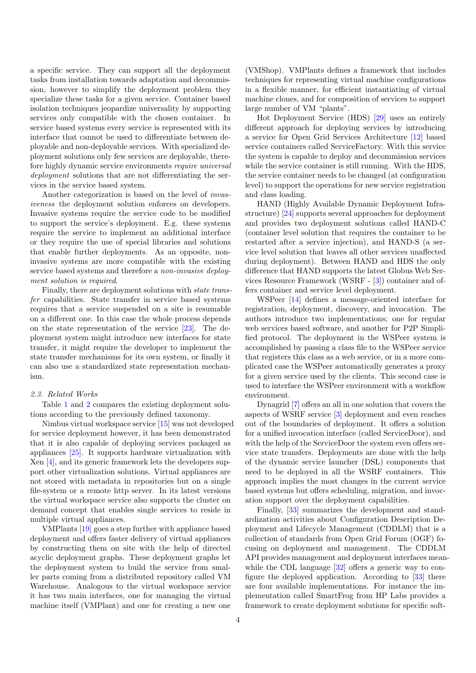a specific service. They can support all the deployment tasks from installation towards adaptation and decommission, however to simplify the deployment problem they specialize these tasks for a given service. Container based isolation techniques jeopardize universality by supporting services only compatible with the chosen container. In service based systems every service is represented with its interface that cannot be used to differentiate between deployable and non-deployable services. With specialized deployment solutions only few services are deployable, therefore highly dynamic service environments require universal deployment solutions that are not differentiating the services in the service based system.

Another categorization is based on the level of invasiveness the deployment solution enforces on developers. Invasive systems require the service code to be modified to support the service's deployment. E.g. these systems require the service to implement an additional interface or they require the use of special libraries and solutions that enable further deployments. As an opposite, noninvasive systems are more compatible with the existing service based systems and therefore a non-invasive deployment solution is required.

Finally, there are deployment solutions with state transfer capabilities. State transfer in service based systems requires that a service suspended on a site is resumable on a different one. In this case the whole process depends on the state representation of the service [\[23\]](#page-12-18). The deployment system might introduce new interfaces for state transfer, it might require the developer to implement the state transfer mechanisms for its own system, or finally it can also use a standardized state representation mechanism.

#### 2.3. Related Works

Table [1](#page-5-1) and [2](#page-5-2) compares the existing deployment solutions according to the previously defined taxonomy.

Nimbus virtual workspace service [\[15\]](#page-12-13) was not developed for service deployment however, it has been demonstrated that it is also capable of deploying services packaged as appliances [\[25\]](#page-12-19). It supports hardware virtualization with Xen [\[4\]](#page-12-20), and its generic framework lets the developers support other virtualization solutions. Virtual appliances are not stored with metadata in repositories but on a single file-system or a remote http server. In its latest versions the virtual workspace service also supports the cluster on demand concept that enables single services to reside in multiple virtual appliances.

VMPlants [\[19\]](#page-12-14) goes a step further with appliance based deployment and offers faster delivery of virtual appliances by constructing them on site with the help of directed acyclic deployment graphs. These deployment graphs let the deployment system to build the service from smaller parts coming from a distributed repository called VM Warehouse. Analogous to the virtual workspace service it has two main interfaces, one for managing the virtual machine itself (VMPlant) and one for creating a new one

(VMShop). VMPlants defines a framework that includes techniques for representing virtual machine configurations in a flexible manner, for efficient instantiating of virtual machine clones, and for composition of services to support large number of VM "plants".

Hot Deployment Service (HDS) [\[29\]](#page-12-21) uses an entirely different approach for deploying services by introducing a service for Open Grid Services Architecture [\[12\]](#page-12-22) based service containers called ServiceFactory. With this service the system is capable to deploy and decommission services while the service container is still running. With the HDS, the service container needs to be changed (at configuration level) to support the operations for new service registration and class loading.

HAND (Highly Available Dynamic Deployment Infrastructure) [\[24\]](#page-12-12) supports several approaches for deployment and provides two deployment solutions called HAND-C (container level solution that requires the container to be restarted after a service injection), and HAND-S (a service level solution that leaves all other services unaffected during deployment). Between HAND and HDS the only difference that HAND supports the latest Globus Web Services Resource Framework (WSRF - [\[3\]](#page-12-23)) container and offers container and service level deployment.

WSPeer [\[14\]](#page-12-24) defines a message-oriented interface for registration, deployment, discovery, and invocation. The authors introduce two implementations; one for regular web services based software, and another for P2P Simplified protocol. The deployment in the WSPeer system is accomplished by passing a class file to the WSPeer service that registers this class as a web service, or in a more complicated case the WSPeer automatically generates a proxy for a given service used by the clients. This second case is used to interface the WSPeer environment with a workflow environment.

Dynagrid [\[7\]](#page-12-11) offers an all in one solution that covers the aspects of WSRF service [\[3\]](#page-12-23) deployment and even reaches out of the boundaries of deployment. It offers a solution for a unified invocation interface (called ServiceDoor), and with the help of the ServiceDoor the system even offers service state transfers. Deployments are done with the help of the dynamic service launcher (DSL) components that need to be deployed in all the WSRF containers. This approach implies the most changes in the current service based systems but offers scheduling, migration, and invocation support over the deployment capabilities.

Finally, [\[33\]](#page-12-25) summarizes the development and standardization activities about Configuration Description Deployment and Lifecycle Management (CDDLM) that is a collection of standards from Open Grid Forum (OGF) focusing on deployment and management. The CDDLM API provides management and deployment interfaces meanwhile the CDL language  $[32]$  offers a generic way to configure the deployed application. According to [\[33\]](#page-12-25) there are four available implementations. For instance the implementation called SmartFrog from HP Labs provides a framework to create deployment solutions for specific soft-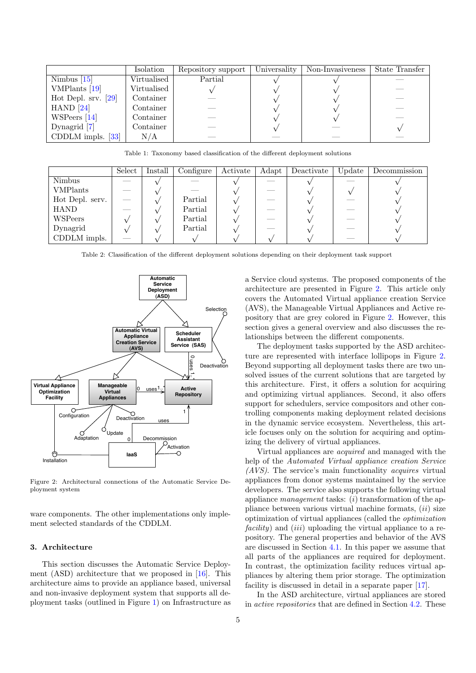|                       | Isolation   | Repository support | Universality | Non-Invasiveness | State Transfer |
|-----------------------|-------------|--------------------|--------------|------------------|----------------|
| Nimbus $[15]$         | Virtualised | Partial            |              |                  |                |
| VMPlants [19]         | Virtualised |                    |              |                  |                |
| Hot Depl. srv. $[29]$ | Container   |                    |              |                  |                |
| HAND $[24]$           | Container   |                    |              |                  |                |
| WSPeers [14]          | Container   |                    |              |                  |                |
| Dynagrid [7]          | Container   |                    |              |                  |                |
| CDDLM impls. $[33]$   | N/A         |                    |              |                  |                |

<span id="page-5-1"></span>Table 1: Taxonomy based classification of the different deployment solutions

|                 | Select | Install | Configure | Activate | Adapt | Deactivate | Update | Decommission |
|-----------------|--------|---------|-----------|----------|-------|------------|--------|--------------|
| Nimbus          |        |         |           |          |       |            |        |              |
| <b>VMPlants</b> |        |         |           |          |       |            |        |              |
| Hot Depl. serv. |        |         | Partial   |          | __    |            |        |              |
| <b>HAND</b>     |        |         | Partial   |          |       |            |        |              |
| WSPeers         |        |         | Partial   |          | ___   |            |        |              |
| Dynagrid        |        |         | Partial   |          |       |            |        |              |
| CDDLM impls.    |        |         |           |          |       |            |        |              |

<span id="page-5-2"></span>Table 2: Classification of the different deployment solutions depending on their deployment task support



<span id="page-5-3"></span>Figure 2: Architectural connections of the Automatic Service Deployment system

ware components. The other implementations only implement selected standards of the CDDLM.

# <span id="page-5-0"></span>3. Architecture

This section discusses the Automatic Service Deployment (ASD) architecture that we proposed in [\[16\]](#page-12-27). This architecture aims to provide an appliance based, universal and non-invasive deployment system that supports all deployment tasks (outlined in Figure [1\)](#page-2-1) on Infrastructure as a Service cloud systems. The proposed components of the architecture are presented in Figure [2.](#page-5-3) This article only covers the Automated Virtual appliance creation Service (AVS), the Manageable Virtual Appliances and Active repository that are grey colored in Figure [2.](#page-5-3) However, this section gives a general overview and also discusses the relationships between the different components.

The deployment tasks supported by the ASD architecture are represented with interface lollipops in Figure [2.](#page-5-3) Beyond supporting all deployment tasks there are two unsolved issues of the current solutions that are targeted by this architecture. First, it offers a solution for acquiring and optimizing virtual appliances. Second, it also offers support for schedulers, service compositors and other controlling components making deployment related decisions in the dynamic service ecosystem. Nevertheless, this article focuses only on the solution for acquiring and optimizing the delivery of virtual appliances.

Virtual appliances are acquired and managed with the help of the Automated Virtual appliance creation Service (AVS). The service's main functionality acquires virtual appliances from donor systems maintained by the service developers. The service also supports the following virtual appliance management tasks:  $(i)$  transformation of the appliance between various virtual machine formats,  $(ii)$  size optimization of virtual appliances (called the optimization  $facility)$  and  $(iii)$  uploading the virtual appliance to a repository. The general properties and behavior of the AVS are discussed in Section [4.1.](#page-6-1) In this paper we assume that all parts of the appliances are required for deployment. In contrast, the optimization facility reduces virtual appliances by altering them prior storage. The optimization facility is discussed in detail in a separate paper [\[17\]](#page-12-28).

In the ASD architecture, virtual appliances are stored in active repositories that are defined in Section [4.2.](#page-8-0) These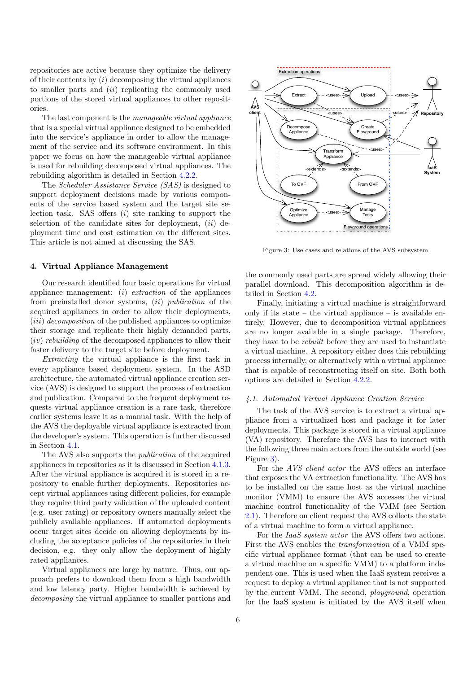repositories are active because they optimize the delivery of their contents by  $(i)$  decomposing the virtual appliances to smaller parts and  $(ii)$  replicating the commonly used portions of the stored virtual appliances to other repositories.

The last component is the manageable virtual appliance that is a special virtual appliance designed to be embedded into the service's appliance in order to allow the management of the service and its software environment. In this paper we focus on how the manageable virtual appliance is used for rebuilding decomposed virtual appliances. The rebuilding algorithm is detailed in Section [4.2.2.](#page-9-0)

The Scheduler Assistance Service (SAS) is designed to support deployment decisions made by various components of the service based system and the target site selection task. SAS offers  $(i)$  site ranking to support the selection of the candidate sites for deployment,  $(ii)$  deployment time and cost estimation on the different sites. This article is not aimed at discussing the SAS.

### <span id="page-6-0"></span>4. Virtual Appliance Management

Our research identified four basic operations for virtual appliance management:  $(i)$  *extraction* of the appliances from preinstalled donor systems, (ii) publication of the acquired appliances in order to allow their deployments,  $(iii)$  decomposition of the published appliances to optimize their storage and replicate their highly demanded parts,  $(iv)$  rebuilding of the decomposed appliances to allow their faster delivery to the target site before deployment.

Extracting the virtual appliance is the first task in every appliance based deployment system. In the ASD architecture, the automated virtual appliance creation service (AVS) is designed to support the process of extraction and publication. Compared to the frequent deployment requests virtual appliance creation is a rare task, therefore earlier systems leave it as a manual task. With the help of the AVS the deployable virtual appliance is extracted from the developer's system. This operation is further discussed in Section [4.1.](#page-6-1)

The AVS also supports the publication of the acquired appliances in repositories as it is discussed in Section [4.1.3.](#page-7-0) After the virtual appliance is acquired it is stored in a repository to enable further deployments. Repositories accept virtual appliances using different policies, for example they require third party validation of the uploaded content (e.g. user rating) or repository owners manually select the publicly available appliances. If automated deployments occur target sites decide on allowing deployments by including the acceptance policies of the repositories in their decision, e.g. they only allow the deployment of highly rated appliances.

Virtual appliances are large by nature. Thus, our approach prefers to download them from a high bandwidth and low latency party. Higher bandwidth is achieved by decomposing the virtual appliance to smaller portions and



<span id="page-6-2"></span>Figure 3: Use cases and relations of the AVS subsystem

the commonly used parts are spread widely allowing their parallel download. This decomposition algorithm is detailed in Section [4.2.](#page-8-0)

Finally, initiating a virtual machine is straightforward only if its state – the virtual appliance – is available entirely. However, due to decomposition virtual appliances are no longer available in a single package. Therefore, they have to be rebuilt before they are used to instantiate a virtual machine. A repository either does this rebuilding process internally, or alternatively with a virtual appliance that is capable of reconstructing itself on site. Both both options are detailed in Section [4.2.2.](#page-9-0)

# <span id="page-6-1"></span>4.1. Automated Virtual Appliance Creation Service

The task of the AVS service is to extract a virtual appliance from a virtualized host and package it for later deployments. This package is stored in a virtual appliance (VA) repository. Therefore the AVS has to interact with the following three main actors from the outside world (see Figure [3\)](#page-6-2).

For the AVS client actor the AVS offers an interface that exposes the VA extraction functionality. The AVS has to be installed on the same host as the virtual machine monitor (VMM) to ensure the AVS accesses the virtual machine control functionality of the VMM (see Section [2.1\)](#page-2-2). Therefore on client request the AVS collects the state of a virtual machine to form a virtual appliance.

For the *IaaS system actor* the AVS offers two actions. First the AVS enables the transformation of a VMM specific virtual appliance format (that can be used to create a virtual machine on a specific VMM) to a platform independent one. This is used when the IaaS system receives a request to deploy a virtual appliance that is not supported by the current VMM. The second, playground, operation for the IaaS system is initiated by the AVS itself when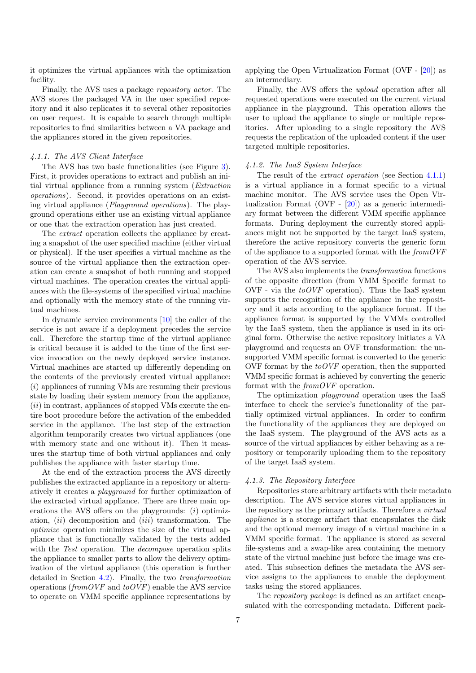it optimizes the virtual appliances with the optimization facility.

Finally, the AVS uses a package repository actor. The AVS stores the packaged VA in the user specified repository and it also replicates it to several other repositories on user request. It is capable to search through multiple repositories to find similarities between a VA package and the appliances stored in the given repositories.

# <span id="page-7-1"></span>4.1.1. The AVS Client Interface

The AVS has two basic functionalities (see Figure [3\)](#page-6-2). First, it provides operations to extract and publish an initial virtual appliance from a running system (Extraction operations). Second, it provides operations on an existing virtual appliance (Playground operations). The playground operations either use an existing virtual appliance or one that the extraction operation has just created.

The extract operation collects the appliance by creating a snapshot of the user specified machine (either virtual or physical). If the user specifies a virtual machine as the source of the virtual appliance then the extraction operation can create a snapshot of both running and stopped virtual machines. The operation creates the virtual appliances with the file-systems of the specified virtual machine and optionally with the memory state of the running virtual machines.

In dynamic service environments [\[10\]](#page-12-1) the caller of the service is not aware if a deployment precedes the service call. Therefore the startup time of the virtual appliance is critical because it is added to the time of the first service invocation on the newly deployed service instance. Virtual machines are started up differently depending on the contents of the previously created virtual appliance: (i) appliances of running VMs are resuming their previous state by loading their system memory from the appliance,  $(ii)$  in contrast, appliances of stopped VMs execute the entire boot procedure before the activation of the embedded service in the appliance. The last step of the extraction algorithm temporarily creates two virtual appliances (one with memory state and one without it). Then it measures the startup time of both virtual appliances and only publishes the appliance with faster startup time.

At the end of the extraction process the AVS directly publishes the extracted appliance in a repository or alternatively it creates a playground for further optimization of the extracted virtual appliance. There are three main operations the AVS offers on the playgrounds:  $(i)$  optimization,  $(ii)$  decomposition and  $(iii)$  transformation. The optimize operation minimizes the size of the virtual appliance that is functionally validated by the tests added with the Test operation. The *decompose* operation splits the appliance to smaller parts to allow the delivery optimization of the virtual appliance (this operation is further detailed in Section [4.2\)](#page-8-0). Finally, the two transformation operations (from  $\overline{OVF}$  and  $to \overline{OVF}$ ) enable the AVS service to operate on VMM specific appliance representations by

applying the Open Virtualization Format (OVF - [\[20\]](#page-12-29)) as an intermediary.

Finally, the AVS offers the upload operation after all requested operations were executed on the current virtual appliance in the playground. This operation allows the user to upload the appliance to single or multiple repositories. After uploading to a single repository the AVS requests the replication of the uploaded content if the user targeted multiple repositories.

### 4.1.2. The IaaS System Interface

The result of the *extract operation* (see Section [4.1.1\)](#page-7-1) is a virtual appliance in a format specific to a virtual machine monitor. The AVS service uses the Open Virtualization Format (OVF - [\[20\]](#page-12-29)) as a generic intermediary format between the different VMM specific appliance formats. During deployment the currently stored appliances might not be supported by the target IaaS system, therefore the active repository converts the generic form of the appliance to a supported format with the  $from OVF$ operation of the AVS service.

The AVS also implements the transformation functions of the opposite direction (from VMM Specific format to OVF - via the  $to$ OVF operation). Thus the IaaS system supports the recognition of the appliance in the repository and it acts according to the appliance format. If the appliance format is supported by the VMMs controlled by the IaaS system, then the appliance is used in its original form. Otherwise the active repository initiates a VA playground and requests an OVF transformation: the unsupported VMM specific format is converted to the generic OVF format by the  $to$ OVF operation, then the supported VMM specific format is achieved by converting the generic format with the fromOVF operation.

The optimization *playground* operation uses the IaaS interface to check the service's functionality of the partially optimized virtual appliances. In order to confirm the functionality of the appliances they are deployed on the IaaS system. The playground of the AVS acts as a source of the virtual appliances by either behaving as a repository or temporarily uploading them to the repository of the target IaaS system.

#### <span id="page-7-0"></span>4.1.3. The Repository Interface

Repositories store arbitrary artifacts with their metadata description. The AVS service stores virtual appliances in the repository as the primary artifacts. Therefore a virtual appliance is a storage artifact that encapsulates the disk and the optional memory image of a virtual machine in a VMM specific format. The appliance is stored as several file-systems and a swap-like area containing the memory state of the virtual machine just before the image was created. This subsection defines the metadata the AVS service assigns to the appliances to enable the deployment tasks using the stored appliances.

The repository package is defined as an artifact encapsulated with the corresponding metadata. Different pack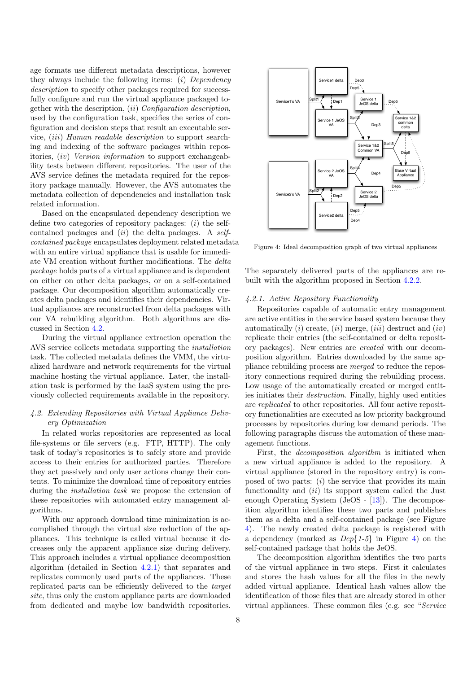age formats use different metadata descriptions, however they always include the following items:  $(i)$  Dependency description to specify other packages required for successfully configure and run the virtual appliance packaged together with the description, (ii) Configuration description, used by the configuration task, specifies the series of configuration and decision steps that result an executable service, (iii) Human readable description to support searching and indexing of the software packages within repositories, (iv) Version information to support exchangeability tests between different repositories. The user of the AVS service defines the metadata required for the repository package manually. However, the AVS automates the metadata collection of dependencies and installation task related information.

Based on the encapsulated dependency description we define two categories of repository packages:  $(i)$  the selfcontained packages and  $(ii)$  the delta packages. A selfcontained package encapsulates deployment related metadata with an entire virtual appliance that is usable for immediate VM creation without further modifications. The delta package holds parts of a virtual appliance and is dependent on either on other delta packages, or on a self-contained package. Our decomposition algorithm automatically creates delta packages and identifies their dependencies. Virtual appliances are reconstructed from delta packages with our VA rebuilding algorithm. Both algorithms are discussed in Section [4.2.](#page-8-0)

During the virtual appliance extraction operation the AVS service collects metadata supporting the installation task. The collected metadata defines the VMM, the virtualized hardware and network requirements for the virtual machine hosting the virtual appliance. Later, the installation task is performed by the IaaS system using the previously collected requirements available in the repository.

# <span id="page-8-0"></span>4.2. Extending Repositories with Virtual Appliance Delivery Optimization

In related works repositories are represented as local file-systems or file servers (e.g. FTP, HTTP). The only task of today's repositories is to safely store and provide access to their entries for authorized parties. Therefore they act passively and only user actions change their contents. To minimize the download time of repository entries during the installation task we propose the extension of these repositories with automated entry management algorithms.

With our approach download time minimization is accomplished through the virtual size reduction of the appliances. This technique is called virtual because it decreases only the apparent appliance size during delivery. This approach includes a virtual appliance decomposition algorithm (detailed in Section [4.2.1\)](#page-8-1) that separates and replicates commonly used parts of the appliances. These replicated parts can be efficiently delivered to the target site, thus only the custom appliance parts are downloaded from dedicated and maybe low bandwidth repositories.



<span id="page-8-2"></span>Figure 4: Ideal decomposition graph of two virtual appliances

The separately delivered parts of the appliances are rebuilt with the algorithm proposed in Section [4.2.2.](#page-9-0)

#### <span id="page-8-1"></span>4.2.1. Active Repository Functionality

Repositories capable of automatic entry management are active entities in the service based system because they automatically  $(i)$  create,  $(ii)$  merge,  $(iii)$  destruct and  $(iv)$ replicate their entries (the self-contained or delta repository packages). New entries are created with our decomposition algorithm. Entries downloaded by the same appliance rebuilding process are merged to reduce the repository connections required during the rebuilding process. Low usage of the automatically created or merged entities initiates their destruction. Finally, highly used entities are replicated to other repositories. All four active repository functionalities are executed as low priority background processes by repositories during low demand periods. The following paragraphs discuss the automation of these management functions.

First, the *decomposition algorithm* is initiated when a new virtual appliance is added to the repository. A virtual appliance (stored in the repository entry) is composed of two parts:  $(i)$  the service that provides its main functionality and  $(ii)$  its support system called the Just enough Operating System (JeOS - [\[13\]](#page-12-30)). The decomposition algorithm identifies these two parts and publishes them as a delta and a self-contained package (see Figure [4\)](#page-8-2). The newly created delta package is registered with a dependency (marked as  $Dep{1-5}$  in Figure [4\)](#page-8-2) on the self-contained package that holds the JeOS.

The decomposition algorithm identifies the two parts of the virtual appliance in two steps. First it calculates and stores the hash values for all the files in the newly added virtual appliance. Identical hash values allow the identification of those files that are already stored in other virtual appliances. These common files (e.g. see "Service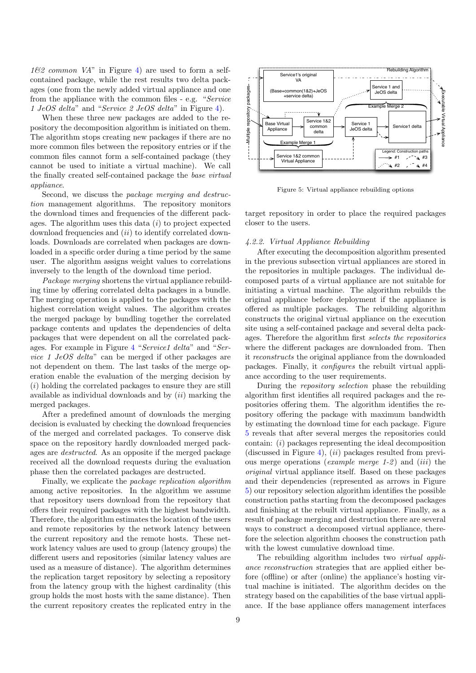$162$  common VA" in Figure [4\)](#page-8-2) are used to form a selfcontained package, while the rest results two delta packages (one from the newly added virtual appliance and one from the appliance with the common files - e.g. "Service 1 JeOS delta" and "Service 2 JeOS delta" in Figure [4\)](#page-8-2).

When these three new packages are added to the repository the decomposition algorithm is initiated on them. The algorithm stops creating new packages if there are no more common files between the repository entries or if the common files cannot form a self-contained package (they cannot be used to initiate a virtual machine). We call the finally created self-contained package the base virtual appliance.

Second, we discuss the package merging and destruction management algorithms. The repository monitors the download times and frequencies of the different packages. The algorithm uses this data  $(i)$  to project expected download frequencies and (ii) to identify correlated downloads. Downloads are correlated when packages are downloaded in a specific order during a time period by the same user. The algorithm assigns weight values to correlations inversely to the length of the download time period.

Package merging shortens the virtual appliance rebuilding time by offering correlated delta packages in a bundle. The merging operation is applied to the packages with the highest correlation weight values. The algorithm creates the merged package by bundling together the correlated package contents and updates the dependencies of delta packages that were dependent on all the correlated packages. For example in Figure [4](#page-8-2) "Service1 delta" and "Service 1 JeOS delta" can be merged if other packages are not dependent on them. The last tasks of the merge operation enable the evaluation of the merging decision by  $(i)$  holding the correlated packages to ensure they are still available as individual downloads and by  $(ii)$  marking the merged packages.

After a predefined amount of downloads the merging decision is evaluated by checking the download frequencies of the merged and correlated packages. To conserve disk space on the repository hardly downloaded merged packages are destructed. As an opposite if the merged package received all the download requests during the evaluation phase then the correlated packages are destructed.

Finally, we explicate the package replication algorithm among active repositories. In the algorithm we assume that repository users download from the repository that offers their required packages with the highest bandwidth. Therefore, the algorithm estimates the location of the users and remote repositories by the network latency between the current repository and the remote hosts. These network latency values are used to group (latency groups) the different users and repositories (similar latency values are used as a measure of distance). The algorithm determines the replication target repository by selecting a repository from the latency group with the highest cardinality (this group holds the most hosts with the same distance). Then the current repository creates the replicated entry in the



<span id="page-9-1"></span>Figure 5: Virtual appliance rebuilding options

target repository in order to place the required packages closer to the users.

# <span id="page-9-0"></span>4.2.2. Virtual Appliance Rebuilding

After executing the decomposition algorithm presented in the previous subsection virtual appliances are stored in the repositories in multiple packages. The individual decomposed parts of a virtual appliance are not suitable for initiating a virtual machine. The algorithm rebuilds the original appliance before deployment if the appliance is offered as multiple packages. The rebuilding algorithm constructs the original virtual appliance on the execution site using a self-contained package and several delta packages. Therefore the algorithm first selects the repositories where the different packages are downloaded from. Then it reconstructs the original appliance from the downloaded packages. Finally, it configures the rebuilt virtual appliance according to the user requirements.

During the repository selection phase the rebuilding algorithm first identifies all required packages and the repositories offering them. The algorithm identifies the repository offering the package with maximum bandwidth by estimating the download time for each package. Figure [5](#page-9-1) reveals that after several merges the repositories could contain: (i) packages representing the ideal decomposition (discussed in Figure [4\)](#page-8-2),  $(ii)$  packages resulted from previous merge operations (*example merge*  $1-2$ ) and (*iii*) the original virtual appliance itself. Based on these packages and their dependencies (represented as arrows in Figure [5\)](#page-9-1) our repository selection algorithm identifies the possible construction paths starting from the decomposed packages and finishing at the rebuilt virtual appliance. Finally, as a result of package merging and destruction there are several ways to construct a decomposed virtual appliance, therefore the selection algorithm chooses the construction path with the lowest cumulative download time.

The rebuilding algorithm includes two *virtual appli*ance reconstruction strategies that are applied either before (offline) or after (online) the appliance's hosting virtual machine is initiated. The algorithm decides on the strategy based on the capabilities of the base virtual appliance. If the base appliance offers management interfaces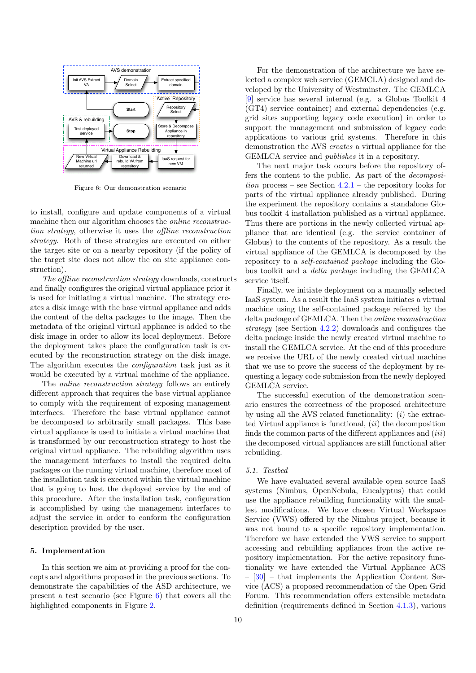

<span id="page-10-1"></span>Figure 6: Our demonstration scenario

to install, configure and update components of a virtual machine then our algorithm chooses the online reconstruction strategy, otherwise it uses the offline reconstruction strategy. Both of these strategies are executed on either the target site or on a nearby repository (if the policy of the target site does not allow the on site appliance construction).

The offline reconstruction strategy downloads, constructs and finally configures the original virtual appliance prior it is used for initiating a virtual machine. The strategy creates a disk image with the base virtual appliance and adds the content of the delta packages to the image. Then the metadata of the original virtual appliance is added to the disk image in order to allow its local deployment. Before the deployment takes place the configuration task is executed by the reconstruction strategy on the disk image. The algorithm executes the configuration task just as it would be executed by a virtual machine of the appliance.

The online reconstruction strategy follows an entirely different approach that requires the base virtual appliance to comply with the requirement of exposing management interfaces. Therefore the base virtual appliance cannot be decomposed to arbitrarily small packages. This base virtual appliance is used to initiate a virtual machine that is transformed by our reconstruction strategy to host the original virtual appliance. The rebuilding algorithm uses the management interfaces to install the required delta packages on the running virtual machine, therefore most of the installation task is executed within the virtual machine that is going to host the deployed service by the end of this procedure. After the installation task, configuration is accomplished by using the management interfaces to adjust the service in order to conform the configuration description provided by the user.

#### <span id="page-10-0"></span>5. Implementation

In this section we aim at providing a proof for the concepts and algorithms proposed in the previous sections. To demonstrate the capabilities of the ASD architecture, we present a test scenario (see Figure [6\)](#page-10-1) that covers all the highlighted components in Figure [2.](#page-5-3)

For the demonstration of the architecture we have selected a complex web service (GEMCLA) designed and developed by the University of Westminster. The GEMLCA [\[9\]](#page-12-31) service has several internal (e.g. a Globus Toolkit 4 (GT4) service container) and external dependencies (e.g. grid sites supporting legacy code execution) in order to support the management and submission of legacy code applications to various grid systems. Therefore in this demonstration the AVS creates a virtual appliance for the GEMLCA service and publishes it in a repository.

The next major task occurs before the repository offers the content to the public. As part of the decomposi*tion* process – see Section  $4.2.1$  – the repository looks for parts of the virtual appliance already published. During the experiment the repository contains a standalone Globus toolkit 4 installation published as a virtual appliance. Thus there are portions in the newly collected virtual appliance that are identical (e.g. the service container of Globus) to the contents of the repository. As a result the virtual appliance of the GEMLCA is decomposed by the repository to a self-contained package including the Globus toolkit and a delta package including the GEMLCA service itself.

Finally, we initiate deployment on a manually selected IaaS system. As a result the IaaS system initiates a virtual machine using the self-contained package referred by the delta package of GEMLCA. Then the online reconstruction strategy (see Section [4.2.2\)](#page-9-0) downloads and configures the delta package inside the newly created virtual machine to install the GEMLCA service. At the end of this procedure we receive the URL of the newly created virtual machine that we use to prove the success of the deployment by requesting a legacy code submission from the newly deployed GEMLCA service.

The successful execution of the demonstration scenario ensures the correctness of the proposed architecture by using all the AVS related functionality:  $(i)$  the extracted Virtual appliance is functional,  $(ii)$  the decomposition finds the common parts of the different appliances and  $(iii)$ the decomposed virtual appliances are still functional after rebuilding.

#### 5.1. Testbed

We have evaluated several available open source IaaS systems (Nimbus, OpenNebula, Eucalyptus) that could use the appliance rebuilding functionality with the smallest modifications. We have chosen Virtual Workspace Service (VWS) offered by the Nimbus project, because it was not bound to a specific repository implementation. Therefore we have extended the VWS service to support accessing and rebuilding appliances from the active repository implementation. For the active repository functionality we have extended the Virtual Appliance ACS – [\[30\]](#page-12-32) – that implements the Application Content Service (ACS) a proposed recommendation of the Open Grid Forum. This recommendation offers extensible metadata definition (requirements defined in Section [4.1.3\)](#page-7-0), various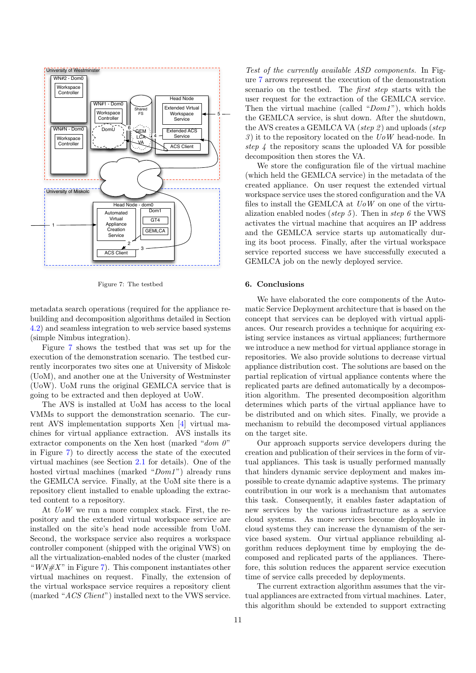

<span id="page-11-1"></span>Figure 7: The testbed

metadata search operations (required for the appliance rebuilding and decomposition algorithms detailed in Section [4.2\)](#page-8-0) and seamless integration to web service based systems (simple Nimbus integration).

Figure [7](#page-11-1) shows the testbed that was set up for the execution of the demonstration scenario. The testbed currently incorporates two sites one at University of Miskolc (UoM), and another one at the University of Westminster (UoW). UoM runs the original GEMLCA service that is going to be extracted and then deployed at UoW.

The AVS is installed at UoM has access to the local VMMs to support the demonstration scenario. The current AVS implementation supports Xen [\[4\]](#page-12-20) virtual machines for virtual appliance extraction. AVS installs its extractor components on the Xen host (marked "dom  $0$ " in Figure [7\)](#page-11-1) to directly access the state of the executed virtual machines (see Section [2.1](#page-2-2) for details). One of the hosted virtual machines (marked " $Dom1$ ") already runs the GEMLCA service. Finally, at the UoM site there is a repository client installed to enable uploading the extracted content to a repository.

At  $UoW$  we run a more complex stack. First, the repository and the extended virtual workspace service are installed on the site's head node accessible from UoM. Second, the workspace service also requires a workspace controller component (shipped with the original VWS) on all the virtualization-enabled nodes of the cluster (marked " $WN#X$ " in Figure [7\)](#page-11-1). This component instantiates other virtual machines on request. Finally, the extension of the virtual workspace service requires a repository client (marked "ACS Client") installed next to the VWS service.

Test of the currently available ASD components. In Figure [7](#page-11-1) arrows represent the execution of the demonstration scenario on the testbed. The first step starts with the user request for the extraction of the GEMLCA service. Then the virtual machine (called " $Dom1$ "), which holds the GEMLCA service, is shut down. After the shutdown, the AVS creates a GEMLCA VA (step 2) and uploads (step 3) it to the repository located on the  $U_0W$  head-node. In step  $\downarrow$  the repository scans the uploaded VA for possible decomposition then stores the VA.

We store the configuration file of the virtual machine (which held the GEMLCA service) in the metadata of the created appliance. On user request the extended virtual workspace service uses the stored configuration and the VA files to install the GEMLCA at  $U \circ W$  on one of the virtualization enabled nodes (step 5). Then in step 6 the VWS activates the virtual machine that acquires an IP address and the GEMLCA service starts up automatically during its boot process. Finally, after the virtual workspace service reported success we have successfully executed a GEMLCA job on the newly deployed service.

# <span id="page-11-0"></span>6. Conclusions

We have elaborated the core components of the Automatic Service Deployment architecture that is based on the concept that services can be deployed with virtual appliances. Our research provides a technique for acquiring existing service instances as virtual appliances; furthermore we introduce a new method for virtual appliance storage in repositories. We also provide solutions to decrease virtual appliance distribution cost. The solutions are based on the partial replication of virtual appliance contents where the replicated parts are defined automatically by a decomposition algorithm. The presented decomposition algorithm determines which parts of the virtual appliance have to be distributed and on which sites. Finally, we provide a mechanism to rebuild the decomposed virtual appliances on the target site.

Our approach supports service developers during the creation and publication of their services in the form of virtual appliances. This task is usually performed manually that hinders dynamic service deployment and makes impossible to create dynamic adaptive systems. The primary contribution in our work is a mechanism that automates this task. Consequently, it enables faster adaptation of new services by the various infrastructure as a service cloud systems. As more services become deployable in cloud systems they can increase the dynamism of the service based system. Our virtual appliance rebuilding algorithm reduces deployment time by employing the decomposed and replicated parts of the appliances. Therefore, this solution reduces the apparent service execution time of service calls preceded by deployments.

The current extraction algorithm assumes that the virtual appliances are extracted from virtual machines. Later, this algorithm should be extended to support extracting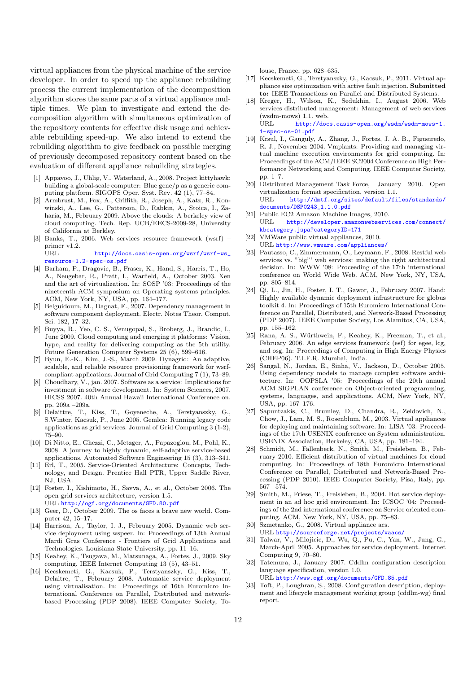virtual appliances from the physical machine of the service developer. In order to speed up the appliance rebuilding process the current implementation of the decomposition algorithm stores the same parts of a virtual appliance multiple times. We plan to investigate and extend the decomposition algorithm with simultaneous optimization of the repository contents for effective disk usage and achievable rebuilding speed-up. We also intend to extend the rebuilding algorithm to give feedback on possible merging of previously decomposed repository content based on the evaluation of different appliance rebuilding strategies.

- <span id="page-12-16"></span>[1] Appavoo, J., Uhlig, V., Waterland, A., 2008. Project kittyhawk: building a global-scale computer: Blue gene/p as a generic computing platform. SIGOPS Oper. Syst. Rev. 42 (1), 77–84.
- <span id="page-12-3"></span>[2] Armbrust, M., Fox, A., Griffith, R., Joseph, A., Katz, R., Konwinski, A., Lee, G., Patterson, D., Rabkin, A., Stoica, I., Zaharia, M., February 2009. Above the clouds: A berkeley view of cloud computing. Tech. Rep. UCB/EECS-2009-28, University of California at Berkley.
- <span id="page-12-23"></span>[3] Banks, T., 2006. Web services resource framework (wsrf) – primer v1.2.

URL [http://docs.oasis-open.org/wsrf/wsrf-ws\\_](http://docs.oasis-open.org/wsrf/wsrf-ws_resource-1.2-spec-os.pdf) [resource-1.2-spec-os.pdf](http://docs.oasis-open.org/wsrf/wsrf-ws_resource-1.2-spec-os.pdf)

- <span id="page-12-20"></span>[4] Barham, P., Dragovic, B., Fraser, K., Hand, S., Harris, T., Ho, A., Neugebar, R., Pratt, I., Warfield, A., October 2003. Xen and the art of virtualization. In: SOSP '03: Proceedings of the nineteenth ACM symposium on Operating systems principles. ACM, New York, NY, USA, pp. 164–177.
- <span id="page-12-8"></span>[5] Belguidoum, M., Dagnat, F., 2007. Dependency management in software component deployment. Electr. Notes Theor. Comput. Sci. 182, 17–32.
- <span id="page-12-4"></span>[6] Buyya, R., Yeo, C. S., Venugopal, S., Broberg, J., Brandic, I., June 2009. Cloud computing and emerging it platforms: Vision, hype, and reality for delivering computing as the 5th utility. Future Generation Computer Systems 25 (6), 599–616.
- <span id="page-12-11"></span>[7] Byun, E.-K., Kim, J.-S., March 2009. Dynagrid: An adaptive, scalable, and reliable resource provisioning framework for wsrfcompliant applications. Journal of Grid Computing 7 (1), 73–89.
- <span id="page-12-15"></span>[8] Choudhary, V., jan. 2007. Software as a service: Implications for investment in software development. In: System Sciences, 2007. HICSS 2007. 40th Annual Hawaii International Conference on. pp. 209a –209a.
- <span id="page-12-31"></span>[9] Delaittre, T., Kiss, T., Goyeneche, A., Terstyanszky, G., S.Winter, Kacsuk, P., June 2005. Gemlca: Running legacy code applications as grid services. Journal of Grid Computing 3 (1-2), 75–90.
- <span id="page-12-1"></span>[10] Di Nitto, E., Ghezzi, C., Metzger, A., Papazoglou, M., Pohl, K., 2008. A journey to highly dynamic, self-adaptive service-based applications. Automated Software Engineering 15 (3), 313–341.
- <span id="page-12-0"></span>[11] Erl, T., 2005. Service-Oriented Architecture: Concepts, Technology, and Design. Prentice Hall PTR, Upper Saddle River, NJ, USA.
- <span id="page-12-22"></span>[12] Foster, I., Kishimoto, H., Savva, A., et al., October 2006. The open grid services architecture, version 1.5.
- URL <http://ogf.org/documents/GFD.80.pdf>
- <span id="page-12-30"></span>[13] Geer, D., October 2009. The os faces a brave new world. Computer 42, 15–17.
- <span id="page-12-24"></span>[14] Harrison, A., Taylor, I. J., February 2005. Dynamic web service deployment using wspeer. In: Proceedings of 13th Annual Mardi Gras Conference - Frontiers of Grid Applications and Technologies. Louisiana State University, pp. 11–16.
- <span id="page-12-13"></span>[15] Keahey, K., Tsugawa, M., Matsunaga, A., Fortes, J., 2009. Sky computing. IEEE Internet Computing 13 (5), 43–51.
- <span id="page-12-27"></span>[16] Kecskemeti, G., Kacsuk, P., Terstyanszky, G., Kiss, T., Delaitre, T., February 2008. Automatic service deployment using virtualisation. In: Proceedings of 16th Euromicro International Conference on Parallel, Distributed and networkbased Processing (PDP 2008). IEEE Computer Society, To-

louse, France, pp. 628–635.

- <span id="page-12-28"></span>[17] Kecskemeti, G., Terstyanszky, G., Kacsuk, P., 2011. Virtual appliance size optimization with active fault injection. Submitted to: IEEE Transactions on Parallel and Distributed Systems.
- <span id="page-12-10"></span>[18] Kreger, H., Wilson, K., Sedukhin, I., August 2006. Web services distributed management: Management of web services (wsdm-mows) 1.1. web. URL [http://docs.oasis-open.org/wsdm/wsdm-mows-1.](http://docs.oasis-open.org/wsdm/wsdm-mows-1.1-spec-os-01.pdf) [1-spec-os-01.pdf](http://docs.oasis-open.org/wsdm/wsdm-mows-1.1-spec-os-01.pdf)
- <span id="page-12-14"></span>[19] Krsul, I., Ganguly, A., Zhang, J., Fortes, J. A. B., Figueiredo, R. J., November 2004. Vmplants: Providing and managing virtual machine execution environments for grid computing. In: Proceedings of the ACM/IEEE SC2004 Conference on High Performance Networking and Computing. IEEE Computer Society, pp. 1–7.
- <span id="page-12-29"></span>[20] Distributed Management Task Force, January 2010. Open virtualization format specification, version 1.1. URL [http://dmtf.org/sites/default/files/standards/](http://dmtf.org/sites/default/files/standards/documents/DSP0243_1.1.0.pdf) [documents/DSP0243\\_1.1.0.pdf](http://dmtf.org/sites/default/files/standards/documents/DSP0243_1.1.0.pdf)
- <span id="page-12-5"></span>[21] Public EC2 Amazon Machine Images, 2010. URL [http://developer.amazonwebservices.com/connect/](http://developer.amazonwebservices.com/connect/kbcategory.jspa?categoryID=171) [kbcategory.jspa?categoryID=171](http://developer.amazonwebservices.com/connect/kbcategory.jspa?categoryID=171)
- <span id="page-12-6"></span>[22] VMWare public virtual appliances, 2010. URL <http://www.vmware.com/appliances/>
- <span id="page-12-18"></span>[23] Pautasso, C., Zimmermann, O., Leymann, F., 2008. Restful web services vs. "big"' web services: making the right architectural decision. In: WWW '08: Proceeding of the 17th international conference on World Wide Web. ACM, New York, NY, USA, pp. 805–814.
- <span id="page-12-12"></span>[24] Qi, L., Jin, H., Foster, I. T., Gawor, J., February 2007. Hand: Highly available dynamic deployment infrastructure for globus toolkit 4. In: Proceedings of 15th Euromicro International Conference on Parallel, Distributed, and Network-Based Processing (PDP 2007). IEEE Computer Society, Los Alamitos, CA, USA, pp. 155–162.
- <span id="page-12-19"></span>[25] Rana, A. S., Würthwein, F., Keahey, K., Freeman, T., et al., February 2006. An edge services framework (esf) for egee, lcg, and osg. In: Proceedings of Computing in High Energy Physics (CHEP06). T.I.F.R. Mumbai, India.
- <span id="page-12-9"></span>[26] Sangal, N., Jordan, E., Sinha, V., Jackson, D., October 2005. Using dependency models to manage complex software architecture. In: OOPSLA '05: Proceedings of the 20th annual ACM SIGPLAN conference on Object-oriented programming, systems, languages, and applications. ACM, New York, NY, USA, pp. 167–176.
- <span id="page-12-17"></span>[27] Sapuntzakis, C., Brumley, D., Chandra, R., Zeldovich, N., Chow, J., Lam, M. S., Rosenblum, M., 2003. Virtual appliances for deploying and maintaining software. In: LISA '03: Proceedings of the 17th USENIX conference on System administration. USENIX Association, Berkeley, CA, USA, pp. 181–194.
- <span id="page-12-7"></span>[28] Schmidt, M., Fallenbeck, N., Smith, M., Freisleben, B., February 2010. Efficient distribution of virtual machines for cloud computing. In: Proceedings of 18th Euromicro International Conference on Parallel, Distributed and Network-Based Processing (PDP 2010). IEEE Computer Society, Pisa, Italy, pp. 567 –574.
- <span id="page-12-21"></span>[29] Smith, M., Friese, T., Freisleben, B., 2004. Hot service deployment in an ad hoc grid environment. In: ICSOC '04: Proceedings of the 2nd international conference on Service oriented computing. ACM, New York, NY, USA, pp. 75–83.
- <span id="page-12-32"></span>[30] Szmetanko, G., 2008. Virtual appliance acs. URL <http://sourceforge.net/projects/vaacs/>
- <span id="page-12-2"></span>[31] Talwar, V., Milojicic, D., Wu, Q., Pu, C., Yan, W., Jung, G., March-April 2005. Approaches for service deployment. Internet Computing 9, 70–80.
- <span id="page-12-26"></span>[32] Tatemura, J., January 2007. Cddlm configuration description language specification, version 1.0. URL <http://www.ogf.org/documents/GFD.85.pdf>
- <span id="page-12-25"></span>[33] Toft, P., Loughran, S., 2008. Configuration description, deployment and lifecycle management working group (cddlm-wg) final report.